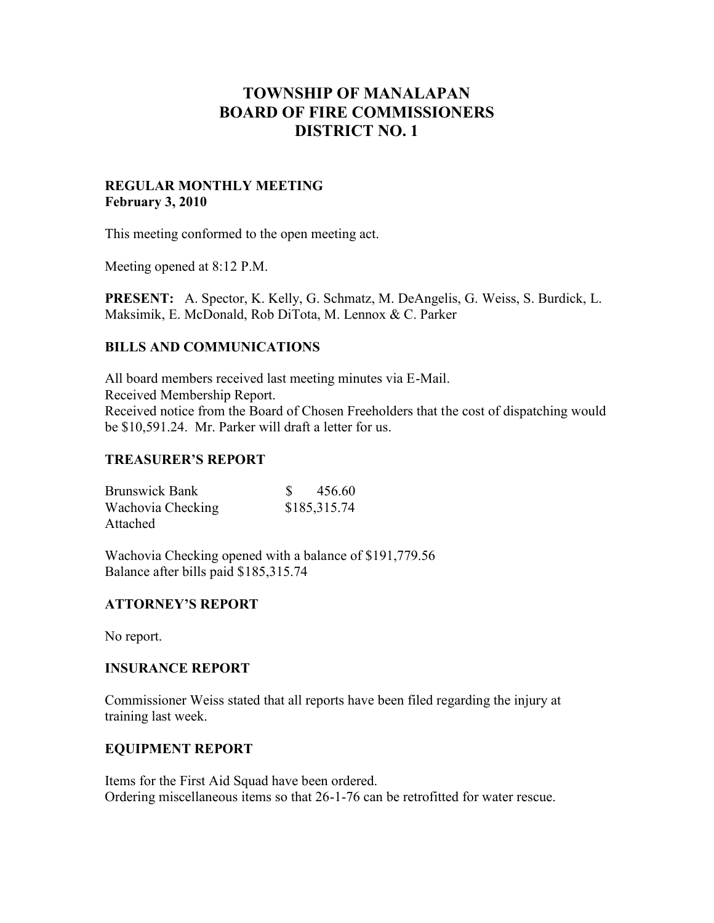# **TOWNSHIP OF MANALAPAN BOARD OF FIRE COMMISSIONERS DISTRICT NO. 1**

## **REGULAR MONTHLY MEETING February 3, 2010**

This meeting conformed to the open meeting act.

Meeting opened at 8:12 P.M.

**PRESENT:** A. Spector, K. Kelly, G. Schmatz, M. DeAngelis, G. Weiss, S. Burdick, L. Maksimik, E. McDonald, Rob DiTota, M. Lennox & C. Parker

# **BILLS AND COMMUNICATIONS**

All board members received last meeting minutes via E-Mail. Received Membership Report. Received notice from the Board of Chosen Freeholders that the cost of dispatching would be \$10,591.24. Mr. Parker will draft a letter for us.

## **TREASURER'S REPORT**

| <b>Brunswick Bank</b> | 456.60       |
|-----------------------|--------------|
| Wachovia Checking     | \$185,315.74 |
| Attached              |              |

Wachovia Checking opened with a balance of \$191,779.56 Balance after bills paid \$185,315.74

## **ATTORNEY'S REPORT**

No report.

## **INSURANCE REPORT**

Commissioner Weiss stated that all reports have been filed regarding the injury at training last week.

## **EQUIPMENT REPORT**

Items for the First Aid Squad have been ordered. Ordering miscellaneous items so that 26-1-76 can be retrofitted for water rescue.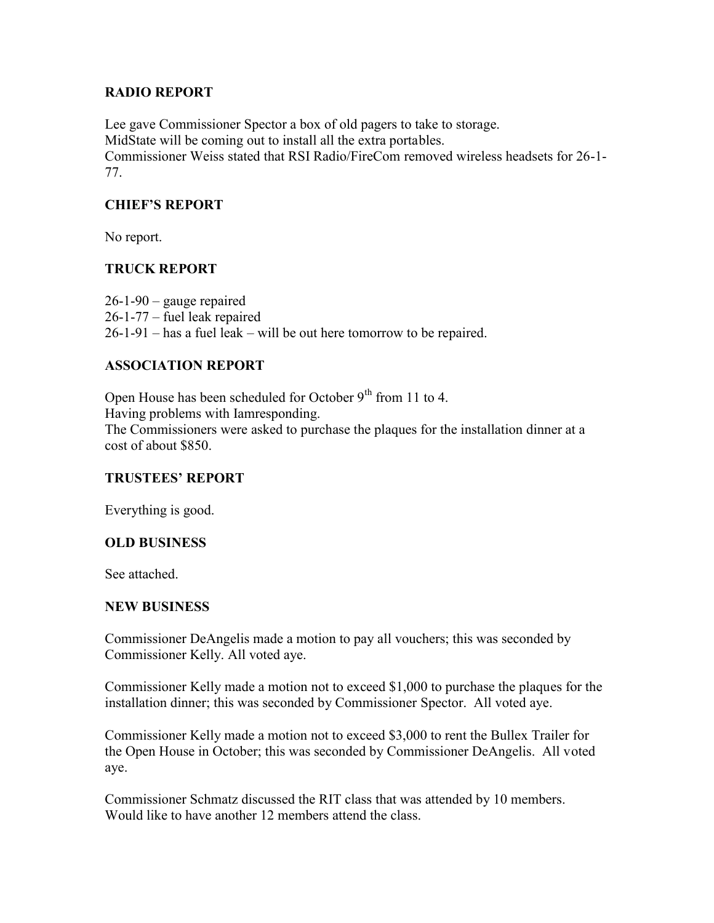## **RADIO REPORT**

Lee gave Commissioner Spector a box of old pagers to take to storage. MidState will be coming out to install all the extra portables. Commissioner Weiss stated that RSI Radio/FireCom removed wireless headsets for 26-1- 77.

## **CHIEF'S REPORT**

No report.

## **TRUCK REPORT**

26-1-90 – gauge repaired 26-1-77 – fuel leak repaired 26-1-91 – has a fuel leak – will be out here tomorrow to be repaired.

## **ASSOCIATION REPORT**

Open House has been scheduled for October  $9<sup>th</sup>$  from 11 to 4. Having problems with Iamresponding. The Commissioners were asked to purchase the plaques for the installation dinner at a cost of about \$850.

## **TRUSTEES' REPORT**

Everything is good.

## **OLD BUSINESS**

See attached.

## **NEW BUSINESS**

Commissioner DeAngelis made a motion to pay all vouchers; this was seconded by Commissioner Kelly. All voted aye.

Commissioner Kelly made a motion not to exceed \$1,000 to purchase the plaques for the installation dinner; this was seconded by Commissioner Spector. All voted aye.

Commissioner Kelly made a motion not to exceed \$3,000 to rent the Bullex Trailer for the Open House in October; this was seconded by Commissioner DeAngelis. All voted aye.

Commissioner Schmatz discussed the RIT class that was attended by 10 members. Would like to have another 12 members attend the class.